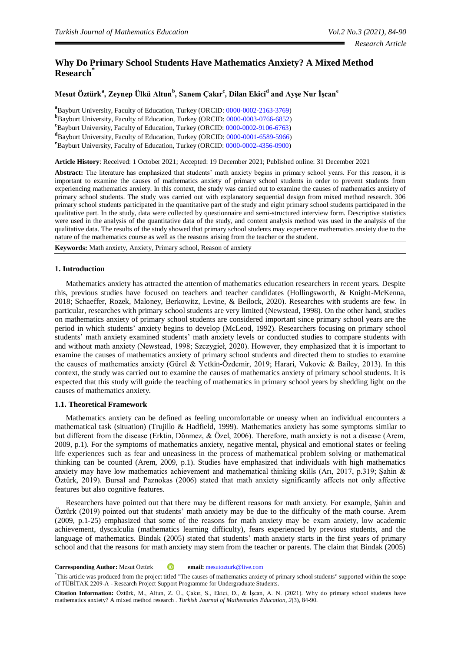# **Why Do Primary School Students Have Mathematics Anxiety? A Mixed Method Research\***

# **Mesut Öztürk a , Zeynep Ülkü Altun<sup>b</sup> , Sanem Çakır<sup>c</sup> , Dilan Ekici<sup>d</sup> and Ayşe Nur İşcan<sup>e</sup>**

<sup>a</sup> Bayburt University, Faculty of Education, Turkey (ORCID: [0000-0002-2163-3769\)](http://www.orcid.org/0000-0002-2163-3769) **b** Bayburt University, Faculty of Education, Turkey (ORCID: [0000-0003-0766-6852\)](http://www.orcid.org/0000-0003-0766-6852) **c** Bayburt University, Faculty of Education, Turkey (ORCID: [0000-0002-9106-6763\)](http://www.orcid.org/0000-0002-9106-6763) **d** Bayburt University, Faculty of Education, Turkey (ORCID: [0000-0001-6589-5966\)](http://www.orcid.org/0000-0001-6589-5966) **e** Bayburt University, Faculty of Education, Turkey (ORCID: [0000-0002-4356-0900\)](http://www.orcid.org/0000-0002-4356-0900)

**Article History**: Received: 1 October 2021; Accepted: 19 December 2021; Published online: 31 December 2021

**Abstract:** The literature has emphasized that students' math anxiety begins in primary school years. For this reason, it is important to examine the causes of mathematics anxiety of primary school students in order to prevent students from experiencing mathematics anxiety. In this context, the study was carried out to examine the causes of mathematics anxiety of primary school students. The study was carried out with explanatory sequential design from mixed method research. 306 primary school students participated in the quantitative part of the study and eight primary school students participated in the qualitative part. In the study, data were collected by questionnaire and semi-structured interview form. Descriptive statistics were used in the analysis of the quantitative data of the study, and content analysis method was used in the analysis of the qualitative data. The results of the study showed that primary school students may experience mathematics anxiety due to the nature of the mathematics course as well as the reasons arising from the teacher or the student.

**Keywords:** Math anxiety, Anxiety, Primary school, Reason of anxiety

# **1. Introduction**

Mathematics anxiety has attracted the attention of mathematics education researchers in recent years. Despite this, previous studies have focused on teachers and teacher candidates (Hollingsworth, & Knight-McKenna, 2018; Schaeffer, Rozek, Maloney, Berkowitz, Levine, & Beilock, 2020). Researches with students are few. In particular, researches with primary school students are very limited (Newstead, 1998). On the other hand, studies on mathematics anxiety of primary school students are considered important since primary school years are the period in which students' anxiety begins to develop (McLeod, 1992). Researchers focusing on primary school students' math anxiety examined students' math anxiety levels or conducted studies to compare students with and without math anxiety (Newstead, 1998; Szczygieł, 2020). However, they emphasized that it is important to examine the causes of mathematics anxiety of primary school students and directed them to studies to examine the causes of mathematics anxiety (Gürel & Yetkin-Özdemir, 2019; Harari, Vukovic & Bailey, 2013). In this context, the study was carried out to examine the causes of mathematics anxiety of primary school students. It is expected that this study will guide the teaching of mathematics in primary school years by shedding light on the causes of mathematics anxiety.

# **1.1. Theoretical Framework**

Mathematics anxiety can be defined as feeling uncomfortable or uneasy when an individual encounters a mathematical task (situation) (Trujillo & Hadfield, 1999). Mathematics anxiety has some symptoms similar to but different from the disease (Erktin, Dönmez, & Özel, 2006). Therefore, math anxiety is not a disease (Arem, 2009, p.1). For the symptoms of mathematics anxiety, negative mental, physical and emotional states or feeling life experiences such as fear and uneasiness in the process of mathematical problem solving or mathematical thinking can be counted (Arem, 2009, p.1). Studies have emphasized that individuals with high mathematics anxiety may have low mathematics achievement and mathematical thinking skills (Arı, 2017, p.319; Şahin & Öztürk, 2019). Bursal and Paznokas (2006) stated that math anxiety significantly affects not only affective features but also cognitive features.

Researchers have pointed out that there may be different reasons for math anxiety. For example, Şahin and Öztürk (2019) pointed out that students' math anxiety may be due to the difficulty of the math course. Arem (2009, p.1-25) emphasized that some of the reasons for math anxiety may be exam anxiety, low academic achievement, dyscalculia (mathematics learning difficulty), fears experienced by previous students, and the language of mathematics. Bindak (2005) stated that students' math anxiety starts in the first years of primary school and that the reasons for math anxiety may stem from the teacher or parents. The claim that Bindak (2005)

**Corresponding Author:** Mesut Öztürk **iD** email: **mesutozturk@live.com** 

<sup>\*</sup>This article was produced from the project titled "The causes of mathematics anxiety of primary school students" supported within the scope of TÜBİTAK 2209-A - Research Project Support Programme for Undergraduate Students.

**Citation Information:** Öztürk, M., Altun, Z. Ü., Çakır, S., Ekici, D., & İşcan, A. N. (2021). Why do primary school students have mathematics anxiety? A mixed method research . *Turkish Journal of Mathematics Education, 2*(3), 84-90.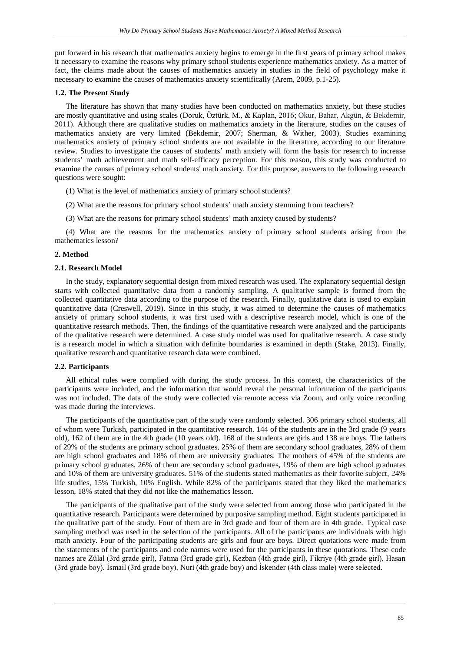put forward in his research that mathematics anxiety begins to emerge in the first years of primary school makes it necessary to examine the reasons why primary school students experience mathematics anxiety. As a matter of fact, the claims made about the causes of mathematics anxiety in studies in the field of psychology make it necessary to examine the causes of mathematics anxiety scientifically (Arem, 2009, p.1-25).

### **1.2. The Present Study**

The literature has shown that many studies have been conducted on mathematics anxiety, but these studies are mostly quantitative and using scales (Doruk, Öztürk, M., & Kaplan, 2016; Okur, Bahar, Akgün, & Bekdemir, 2011). Although there are qualitative studies on mathematics anxiety in the literature, studies on the causes of mathematics anxiety are very limited (Bekdemir, 2007; Sherman, & Wither, 2003). Studies examining mathematics anxiety of primary school students are not available in the literature, according to our literature review. Studies to investigate the causes of students' math anxiety will form the basis for research to increase students' math achievement and math self-efficacy perception. For this reason, this study was conducted to examine the causes of primary school students' math anxiety. For this purpose, answers to the following research questions were sought:

- (1) What is the level of mathematics anxiety of primary school students?
- (2) What are the reasons for primary school students' math anxiety stemming from teachers?
- (3) What are the reasons for primary school students' math anxiety caused by students?

(4) What are the reasons for the mathematics anxiety of primary school students arising from the mathematics lesson?

# **2. Method**

# **2.1. Research Model**

In the study, explanatory sequential design from mixed research was used. The explanatory sequential design starts with collected quantitative data from a randomly sampling. A qualitative sample is formed from the collected quantitative data according to the purpose of the research. Finally, qualitative data is used to explain quantitative data (Creswell, 2019). Since in this study, it was aimed to determine the causes of mathematics anxiety of primary school students, it was first used with a descriptive research model, which is one of the quantitative research methods. Then, the findings of the quantitative research were analyzed and the participants of the qualitative research were determined. A case study model was used for qualitative research. A case study is a research model in which a situation with definite boundaries is examined in depth (Stake, 2013). Finally, qualitative research and quantitative research data were combined.

#### **2.2. Participants**

All ethical rules were complied with during the study process. In this context, the characteristics of the participants were included, and the information that would reveal the personal information of the participants was not included. The data of the study were collected via remote access via Zoom, and only voice recording was made during the interviews.

The participants of the quantitative part of the study were randomly selected. 306 primary school students, all of whom were Turkish, participated in the quantitative research. 144 of the students are in the 3rd grade (9 years old), 162 of them are in the 4th grade (10 years old). 168 of the students are girls and 138 are boys. The fathers of 29% of the students are primary school graduates, 25% of them are secondary school graduates, 28% of them are high school graduates and 18% of them are university graduates. The mothers of 45% of the students are primary school graduates, 26% of them are secondary school graduates, 19% of them are high school graduates and 10% of them are university graduates. 51% of the students stated mathematics as their favorite subject, 24% life studies, 15% Turkish, 10% English. While 82% of the participants stated that they liked the mathematics lesson, 18% stated that they did not like the mathematics lesson.

The participants of the qualitative part of the study were selected from among those who participated in the quantitative research. Participants were determined by purposive sampling method. Eight students participated in the qualitative part of the study. Four of them are in 3rd grade and four of them are in 4th grade. Typical case sampling method was used in the selection of the participants. All of the participants are individuals with high math anxiety. Four of the participating students are girls and four are boys. Direct quotations were made from the statements of the participants and code names were used for the participants in these quotations. These code names are Zülal (3rd grade girl), Fatma (3rd grade girl), Kezban (4th grade girl), Fikriye (4th grade girl), Hasan (3rd grade boy), İsmail (3rd grade boy), Nuri (4th grade boy) and İskender (4th class male) were selected.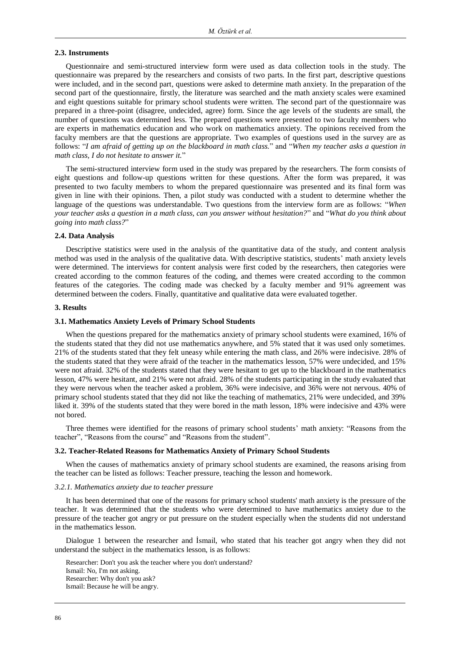#### **2.3. Instruments**

Questionnaire and semi-structured interview form were used as data collection tools in the study. The questionnaire was prepared by the researchers and consists of two parts. In the first part, descriptive questions were included, and in the second part, questions were asked to determine math anxiety. In the preparation of the second part of the questionnaire, firstly, the literature was searched and the math anxiety scales were examined and eight questions suitable for primary school students were written. The second part of the questionnaire was prepared in a three-point (disagree, undecided, agree) form. Since the age levels of the students are small, the number of questions was determined less. The prepared questions were presented to two faculty members who are experts in mathematics education and who work on mathematics anxiety. The opinions received from the faculty members are that the questions are appropriate. Two examples of questions used in the survey are as follows: "*I am afraid of getting up on the blackboard in math class.*" and "*When my teacher asks a question in math class, I do not hesitate to answer it.*"

The semi-structured interview form used in the study was prepared by the researchers. The form consists of eight questions and follow-up questions written for these questions. After the form was prepared, it was presented to two faculty members to whom the prepared questionnaire was presented and its final form was given in line with their opinions. Then, a pilot study was conducted with a student to determine whether the language of the questions was understandable. Two questions from the interview form are as follows: "*When your teacher asks a question in a math class, can you answer without hesitation?*" and "*What do you think about going into math class?*"

# **2.4. Data Analysis**

Descriptive statistics were used in the analysis of the quantitative data of the study, and content analysis method was used in the analysis of the qualitative data. With descriptive statistics, students' math anxiety levels were determined. The interviews for content analysis were first coded by the researchers, then categories were created according to the common features of the coding, and themes were created according to the common features of the categories. The coding made was checked by a faculty member and 91% agreement was determined between the coders. Finally, quantitative and qualitative data were evaluated together.

#### **3. Results**

#### **3.1. Mathematics Anxiety Levels of Primary School Students**

When the questions prepared for the mathematics anxiety of primary school students were examined, 16% of the students stated that they did not use mathematics anywhere, and 5% stated that it was used only sometimes. 21% of the students stated that they felt uneasy while entering the math class, and 26% were indecisive. 28% of the students stated that they were afraid of the teacher in the mathematics lesson, 57% were undecided, and 15% were not afraid. 32% of the students stated that they were hesitant to get up to the blackboard in the mathematics lesson, 47% were hesitant, and 21% were not afraid. 28% of the students participating in the study evaluated that they were nervous when the teacher asked a problem, 36% were indecisive, and 36% were not nervous. 40% of primary school students stated that they did not like the teaching of mathematics, 21% were undecided, and 39% liked it. 39% of the students stated that they were bored in the math lesson, 18% were indecisive and 43% were not bored.

Three themes were identified for the reasons of primary school students' math anxiety: "Reasons from the teacher", "Reasons from the course" and "Reasons from the student".

#### **3.2. Teacher-Related Reasons for Mathematics Anxiety of Primary School Students**

When the causes of mathematics anxiety of primary school students are examined, the reasons arising from the teacher can be listed as follows: Teacher pressure, teaching the lesson and homework.

# *3.2.1. Mathematics anxiety due to teacher pressure*

It has been determined that one of the reasons for primary school students' math anxiety is the pressure of the teacher. It was determined that the students who were determined to have mathematics anxiety due to the pressure of the teacher got angry or put pressure on the student especially when the students did not understand in the mathematics lesson.

Dialogue 1 between the researcher and İsmail, who stated that his teacher got angry when they did not understand the subject in the mathematics lesson, is as follows:

Researcher: Don't you ask the teacher where you don't understand? Ismail: No, I'm not asking. Researcher: Why don't you ask? Ismail: Because he will be angry.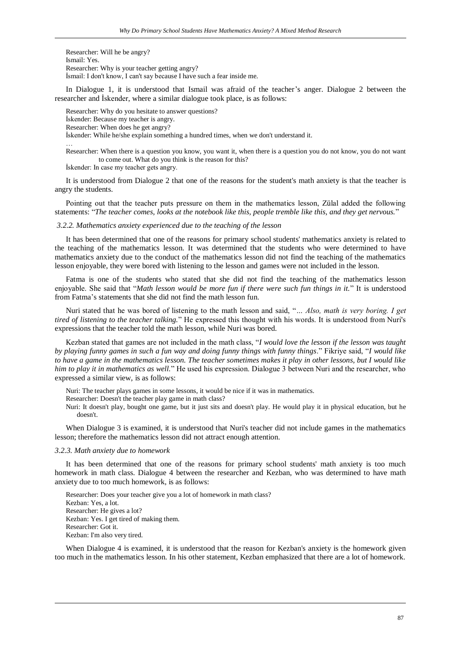Researcher: Will he be angry? Ismail: Yes. Researcher: Why is your teacher getting angry? İsmail: I don't know, I can't say because I have such a fear inside me.

In Dialogue 1, it is understood that Ismail was afraid of the teacher's anger. Dialogue 2 between the researcher and İskender, where a similar dialogue took place, is as follows:

Researcher: Why do you hesitate to answer questions? İskender: Because my teacher is angry. Researcher: When does he get angry? İskender: While he/she explain something a hundred times, when we don't understand it. …

Researcher: When there is a question you know, you want it, when there is a question you do not know, you do not want to come out. What do you think is the reason for this?

İskender: In case my teacher gets angry.

It is understood from Dialogue 2 that one of the reasons for the student's math anxiety is that the teacher is angry the students.

Pointing out that the teacher puts pressure on them in the mathematics lesson, Zülal added the following statements: "*The teacher comes, looks at the notebook like this, people tremble like this, and they get nervous.*"

## *3.2.2. Mathematics anxiety experienced due to the teaching of the lesson*

It has been determined that one of the reasons for primary school students' mathematics anxiety is related to the teaching of the mathematics lesson. It was determined that the students who were determined to have mathematics anxiety due to the conduct of the mathematics lesson did not find the teaching of the mathematics lesson enjoyable, they were bored with listening to the lesson and games were not included in the lesson.

Fatma is one of the students who stated that she did not find the teaching of the mathematics lesson enjoyable. She said that "*Math lesson would be more fun if there were such fun things in it.*" It is understood from Fatma's statements that she did not find the math lesson fun.

Nuri stated that he was bored of listening to the math lesson and said, "*… Also, math is very boring. I get tired of listening to the teacher talking.*" He expressed this thought with his words. It is understood from Nuri's expressions that the teacher told the math lesson, while Nuri was bored.

Kezban stated that games are not included in the math class, "*I would love the lesson if the lesson was taught by playing funny games in such a fun way and doing funny things with funny things*." Fikriye said, "*I would like to have a game in the mathematics lesson. The teacher sometimes makes it play in other lessons, but I would like him to play it in mathematics as well.*" He used his expression. Dialogue 3 between Nuri and the researcher, who expressed a similar view, is as follows:

Nuri: The teacher plays games in some lessons, it would be nice if it was in mathematics.

Researcher: Doesn't the teacher play game in math class?

Nuri: It doesn't play, bought one game, but it just sits and doesn't play. He would play it in physical education, but he doesn't.

When Dialogue 3 is examined, it is understood that Nuri's teacher did not include games in the mathematics lesson; therefore the mathematics lesson did not attract enough attention.

#### *3.2.3. Math anxiety due to homework*

It has been determined that one of the reasons for primary school students' math anxiety is too much homework in math class. Dialogue 4 between the researcher and Kezban, who was determined to have math anxiety due to too much homework, is as follows:

Researcher: Does your teacher give you a lot of homework in math class? Kezban: Yes, a lot. Researcher: He gives a lot? Kezban: Yes. I get tired of making them. Researcher: Got it. Kezban: I'm also very tired.

When Dialogue 4 is examined, it is understood that the reason for Kezban's anxiety is the homework given too much in the mathematics lesson. In his other statement, Kezban emphasized that there are a lot of homework.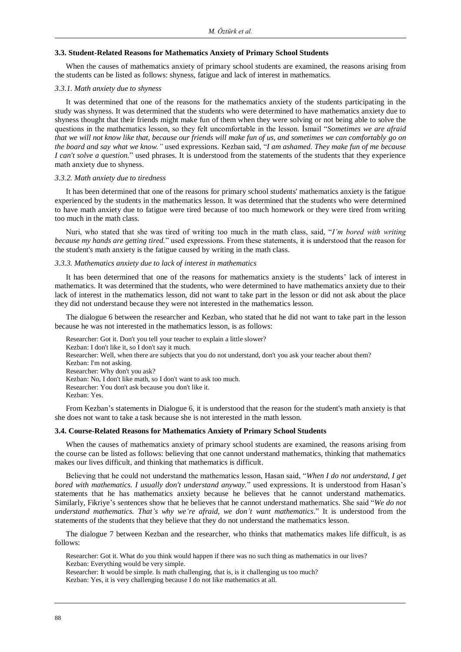#### **3.3. Student-Related Reasons for Mathematics Anxiety of Primary School Students**

When the causes of mathematics anxiety of primary school students are examined, the reasons arising from the students can be listed as follows: shyness, fatigue and lack of interest in mathematics.

# *3.3.1. Math anxiety due to shyness*

It was determined that one of the reasons for the mathematics anxiety of the students participating in the study was shyness. It was determined that the students who were determined to have mathematics anxiety due to shyness thought that their friends might make fun of them when they were solving or not being able to solve the questions in the mathematics lesson, so they felt uncomfortable in the lesson. İsmail "*Sometimes we are afraid that we will not know like that, because our friends will make fun of us, and sometimes we can comfortably go on the board and say what we know."* used expressions. Kezban said, "*I am ashamed. They make fun of me because I can't solve a question.*" used phrases. It is understood from the statements of the students that they experience math anxiety due to shyness.

#### *3.3.2. Math anxiety due to tiredness*

It has been determined that one of the reasons for primary school students' mathematics anxiety is the fatigue experienced by the students in the mathematics lesson. It was determined that the students who were determined to have math anxiety due to fatigue were tired because of too much homework or they were tired from writing too much in the math class.

Nuri, who stated that she was tired of writing too much in the math class, said, "*I'm bored with writing because my hands are getting tired.*" used expressions. From these statements, it is understood that the reason for the student's math anxiety is the fatigue caused by writing in the math class.

## *3.3.3. Mathematics anxiety due to lack of interest in mathematics*

It has been determined that one of the reasons for mathematics anxiety is the students' lack of interest in mathematics. It was determined that the students, who were determined to have mathematics anxiety due to their lack of interest in the mathematics lesson, did not want to take part in the lesson or did not ask about the place they did not understand because they were not interested in the mathematics lesson.

The dialogue 6 between the researcher and Kezban, who stated that he did not want to take part in the lesson because he was not interested in the mathematics lesson, is as follows:

Researcher: Got it. Don't you tell your teacher to explain a little slower? Kezban: I don't like it, so I don't say it much. Researcher: Well, when there are subjects that you do not understand, don't you ask your teacher about them? Kezban: I'm not asking. Researcher: Why don't you ask? Kezban: No, I don't like math, so I don't want to ask too much. Researcher: You don't ask because you don't like it. Kezban: Yes.

From Kezban's statements in Dialogue 6, it is understood that the reason for the student's math anxiety is that she does not want to take a task because she is not interested in the math lesson.

# **3.4. Course-Related Reasons for Mathematics Anxiety of Primary School Students**

When the causes of mathematics anxiety of primary school students are examined, the reasons arising from the course can be listed as follows: believing that one cannot understand mathematics, thinking that mathematics makes our lives difficult, and thinking that mathematics is difficult.

Believing that he could not understand the mathematics lesson, Hasan said, "*When I do not understand, I get bored with mathematics. I usually don't understand anyway.*" used expressions. It is understood from Hasan's statements that he has mathematics anxiety because he believes that he cannot understand mathematics. Similarly, Fikriye's sentences show that he believes that he cannot understand mathematics. She said "*We do not understand mathematics. That's why we're afraid, we don't want mathematics*." It is understood from the statements of the students that they believe that they do not understand the mathematics lesson.

The dialogue 7 between Kezban and the researcher, who thinks that mathematics makes life difficult, is as follows:

Researcher: Got it. What do you think would happen if there was no such thing as mathematics in our lives? Kezban: Everything would be very simple.

Researcher: It would be simple. Is math challenging, that is, is it challenging us too much?

Kezban: Yes, it is very challenging because I do not like mathematics at all.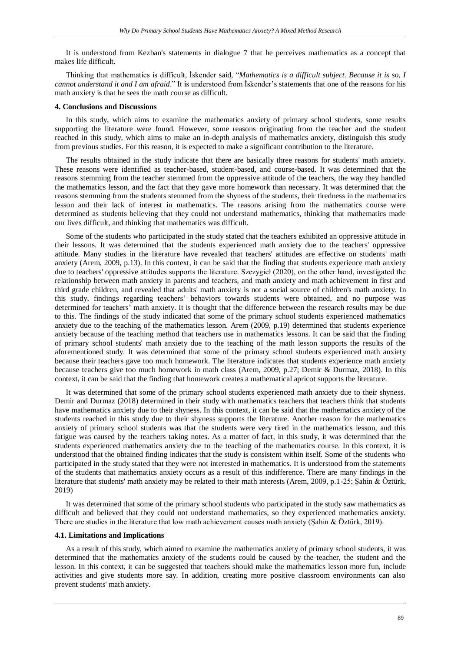It is understood from Kezban's statements in dialogue 7 that he perceives mathematics as a concept that makes life difficult.

Thinking that mathematics is difficult, İskender said, "*Mathematics is a difficult subject. Because it is so, I cannot understand it and I am afraid*." It is understood from İskender's statements that one of the reasons for his math anxiety is that he sees the math course as difficult.

# **4. Conclusions and Discussions**

In this study, which aims to examine the mathematics anxiety of primary school students, some results supporting the literature were found. However, some reasons originating from the teacher and the student reached in this study, which aims to make an in-depth analysis of mathematics anxiety, distinguish this study from previous studies. For this reason, it is expected to make a significant contribution to the literature.

The results obtained in the study indicate that there are basically three reasons for students' math anxiety. These reasons were identified as teacher-based, student-based, and course-based. It was determined that the reasons stemming from the teacher stemmed from the oppressive attitude of the teachers, the way they handled the mathematics lesson, and the fact that they gave more homework than necessary. It was determined that the reasons stemming from the students stemmed from the shyness of the students, their tiredness in the mathematics lesson and their lack of interest in mathematics. The reasons arising from the mathematics course were determined as students believing that they could not understand mathematics, thinking that mathematics made our lives difficult, and thinking that mathematics was difficult.

Some of the students who participated in the study stated that the teachers exhibited an oppressive attitude in their lessons. It was determined that the students experienced math anxiety due to the teachers' oppressive attitude. Many studies in the literature have revealed that teachers' attitudes are effective on students' math anxiety (Arem, 2009, p.13). In this context, it can be said that the finding that students experience math anxiety due to teachers' oppressive attitudes supports the literature. Szczygieł (2020), on the other hand, investigated the relationship between math anxiety in parents and teachers, and math anxiety and math achievement in first and third grade children, and revealed that adults' math anxiety is not a social source of children's math anxiety. In this study, findings regarding teachers' behaviors towards students were obtained, and no purpose was determined for teachers' math anxiety. It is thought that the difference between the research results may be due to this. The findings of the study indicated that some of the primary school students experienced mathematics anxiety due to the teaching of the mathematics lesson. Arem (2009, p.19) determined that students experience anxiety because of the teaching method that teachers use in mathematics lessons. It can be said that the finding of primary school students' math anxiety due to the teaching of the math lesson supports the results of the aforementioned study. It was determined that some of the primary school students experienced math anxiety because their teachers gave too much homework. The literature indicates that students experience math anxiety because teachers give too much homework in math class (Arem, 2009, p.27; Demir & Durmaz, 2018). In this context, it can be said that the finding that homework creates a mathematical apricot supports the literature.

It was determined that some of the primary school students experienced math anxiety due to their shyness. Demir and Durmaz (2018) determined in their study with mathematics teachers that teachers think that students have mathematics anxiety due to their shyness. In this context, it can be said that the mathematics anxiety of the students reached in this study due to their shyness supports the literature. Another reason for the mathematics anxiety of primary school students was that the students were very tired in the mathematics lesson, and this fatigue was caused by the teachers taking notes. As a matter of fact, in this study, it was determined that the students experienced mathematics anxiety due to the teaching of the mathematics course. In this context, it is understood that the obtained finding indicates that the study is consistent within itself. Some of the students who participated in the study stated that they were not interested in mathematics. It is understood from the statements of the students that mathematics anxiety occurs as a result of this indifference. There are many findings in the literature that students' math anxiety may be related to their math interests (Arem, 2009, p.1-25; Şahin & Öztürk, 2019)

It was determined that some of the primary school students who participated in the study saw mathematics as difficult and believed that they could not understand mathematics, so they experienced mathematics anxiety. There are studies in the literature that low math achievement causes math anxiety (Şahin & Öztürk, 2019).

#### **4.1. Limitations and Implications**

As a result of this study, which aimed to examine the mathematics anxiety of primary school students, it was determined that the mathematics anxiety of the students could be caused by the teacher, the student and the lesson. In this context, it can be suggested that teachers should make the mathematics lesson more fun, include activities and give students more say. In addition, creating more positive classroom environments can also prevent students' math anxiety.